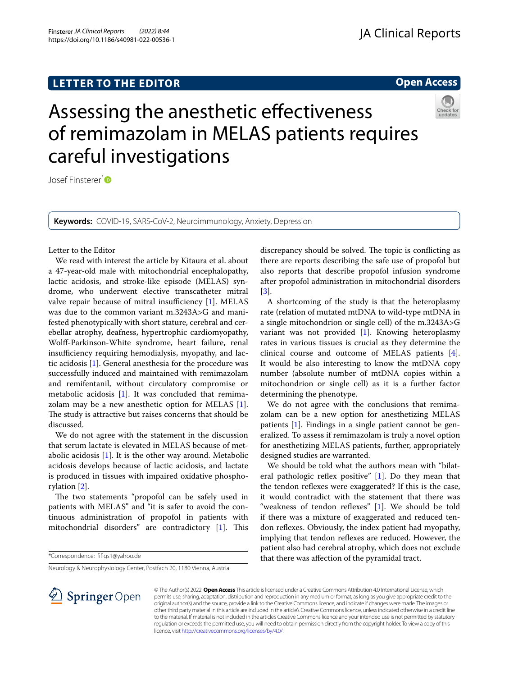# **LETTER TO THE EDITOR**

**Open Access**



# Assessing the anesthetic efectiveness of remimazolam in MELAS patients requires careful investigations

Josef Finsterer<sup>\*</sup><sup>D</sup>

**Keywords:** COVID-19, SARS-CoV-2, Neuroimmunology, Anxiety, Depression

### Letter to the Editor

We read with interest the article by Kitaura et al. about a 47-year-old male with mitochondrial encephalopathy, lactic acidosis, and stroke-like episode (MELAS) syndrome, who underwent elective transcatheter mitral valve repair because of mitral insufficiency  $[1]$  $[1]$ . MELAS was due to the common variant m.3243A>G and manifested phenotypically with short stature, cerebral and cerebellar atrophy, deafness, hypertrophic cardiomyopathy, Wolf-Parkinson-White syndrome, heart failure, renal insufficiency requiring hemodialysis, myopathy, and lactic acidosis [[1\]](#page-1-0). General anesthesia for the procedure was successfully induced and maintained with remimazolam and remifentanil, without circulatory compromise or metabolic acidosis [[1\]](#page-1-0). It was concluded that remimazolam may be a new anesthetic option for MELAS [\[1](#page-1-0)]. The study is attractive but raises concerns that should be discussed.

We do not agree with the statement in the discussion that serum lactate is elevated in MELAS because of metabolic acidosis [[1\]](#page-1-0). It is the other way around. Metabolic acidosis develops because of lactic acidosis, and lactate is produced in tissues with impaired oxidative phosphorylation [\[2](#page-1-1)].

The two statements "propofol can be safely used in patients with MELAS" and "it is safer to avoid the continuous administration of propofol in patients with mitochondrial disorders" are contradictory  $[1]$  $[1]$ . This

\*Correspondence: ffgs1@yahoo.de

Neurology & Neurophysiology Center, Postfach 20, 1180 Vienna, Austria

l **Springer** Open

discrepancy should be solved. The topic is conflicting as there are reports describing the safe use of propofol but also reports that describe propofol infusion syndrome after propofol administration in mitochondrial disorders [[3\]](#page-1-2).

A shortcoming of the study is that the heteroplasmy rate (relation of mutated mtDNA to wild-type mtDNA in a single mitochondrion or single cell) of the m.3243A>G variant was not provided [[1\]](#page-1-0). Knowing heteroplasmy rates in various tissues is crucial as they determine the clinical course and outcome of MELAS patients [\[4](#page-1-3)]. It would be also interesting to know the mtDNA copy number (absolute number of mtDNA copies within a mitochondrion or single cell) as it is a further factor determining the phenotype.

We do not agree with the conclusions that remimazolam can be a new option for anesthetizing MELAS patients [\[1\]](#page-1-0). Findings in a single patient cannot be generalized. To assess if remimazolam is truly a novel option for anesthetizing MELAS patients, further, appropriately designed studies are warranted.

We should be told what the authors mean with "bilateral pathologic reflex positive"  $[1]$  $[1]$ . Do they mean that the tendon refexes were exaggerated? If this is the case, it would contradict with the statement that there was "weakness of tendon refexes" [\[1](#page-1-0)]. We should be told if there was a mixture of exaggerated and reduced tendon refexes. Obviously, the index patient had myopathy, implying that tendon refexes are reduced. However, the patient also had cerebral atrophy, which does not exclude that there was afection of the pyramidal tract.

© The Author(s) 2022. **Open Access** This article is licensed under a Creative Commons Attribution 4.0 International License, which permits use, sharing, adaptation, distribution and reproduction in any medium or format, as long as you give appropriate credit to the original author(s) and the source, provide a link to the Creative Commons licence, and indicate if changes were made. The images or other third party material in this article are included in the article's Creative Commons licence, unless indicated otherwise in a credit line to the material. If material is not included in the article's Creative Commons licence and your intended use is not permitted by statutory regulation or exceeds the permitted use, you will need to obtain permission directly from the copyright holder. To view a copy of this licence, visit [http://creativecommons.org/licenses/by/4.0/.](http://creativecommons.org/licenses/by/4.0/)